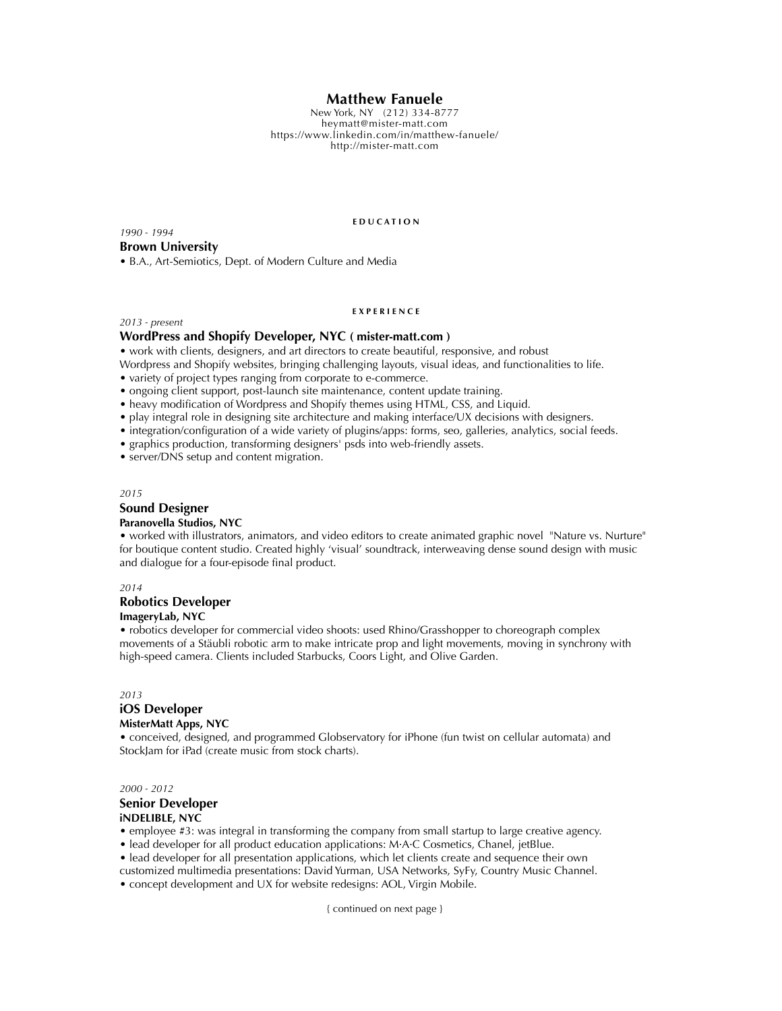# **Matthew Fanuele**

New York, NY (212) 334-8777 heymatt@mister-matt.com <https://www.linkedin.com/in/matthew-fanuele/> http://mister-matt.com

*1990 - 1994*

#### **E D U C A T I O N**

**Brown University** • B.A., Art-Semiotics, Dept. of Modern Culture and Media

# **E X P E R I E N C E**

### *2013 - present*

### **WordPress and Shopify Developer, NYC ( mister-matt.com )**

• work with clients, designers, and art directors to create beautiful, responsive, and robust

Wordpress and Shopify websites, bringing challenging layouts, visual ideas, and functionalities to life.

- variety of project types ranging from corporate to e-commerce.
- ongoing client support, post-launch site maintenance, content update training.
- heavy modification of Wordpress and Shopify themes using HTML, CSS, and Liquid.
- play integral role in designing site architecture and making interface/UX decisions with designers.
- integration/configuration of a wide variety of plugins/apps: forms, seo, galleries, analytics, social feeds.
- graphics production, transforming designers' psds into web-friendly assets.
- server/DNS setup and content migration.

*2015*

# **Sound Designer**

## **Paranovella Studios, NYC**

• worked with illustrators, animators, and video editors to create animated graphic novel "Nature vs. Nurture" for boutique content studio. Created highly 'visual' soundtrack, interweaving dense sound design with music and dialogue for a four-episode final product.

#### *2014*

### **Robotics Developer**

#### **ImageryLab, NYC**

• robotics developer for commercial video shoots: used Rhino/Grasshopper to choreograph complex movements of a Stäubli robotic arm to make intricate prop and light movements, moving in synchrony with high-speed camera. Clients included Starbucks, Coors Light, and Olive Garden.

*2013*

# **iOS Developer**

### **MisterMatt Apps, NYC**

• conceived, designed, and programmed Globservatory for iPhone (fun twist on cellular automata) and StockJam for iPad (create music from stock charts).

*2000 - 2012* **Senior Developer iNDELIBLE, NYC**

• employee #3: was integral in transforming the company from small startup to large creative agency.

• lead developer for all product education applications: M·A·C Cosmetics, Chanel, jetBlue.

- lead developer for all presentation applications, which let clients create and sequence their own customized multimedia presentations: David Yurman, USA Networks, SyFy, Country Music Channel.
- concept development and UX for website redesigns: AOL, Virgin Mobile.

{ continued on next page }